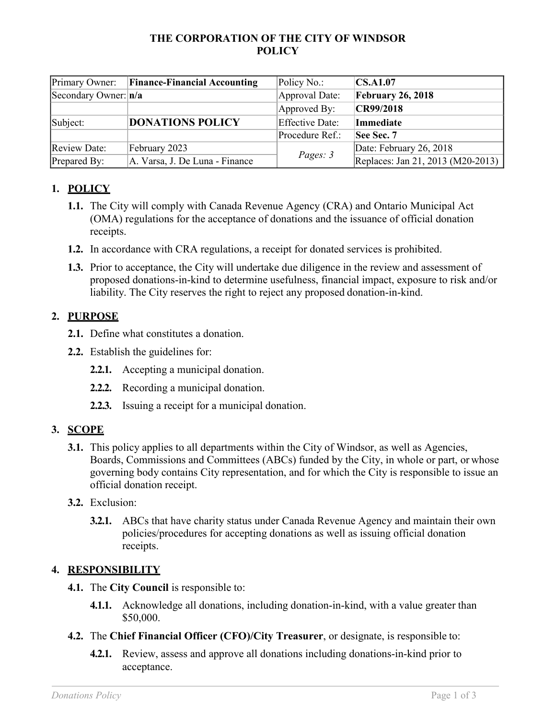#### **THE CORPORATION OF THE CITY OF WINDSOR POLICY**

| Primary Owner:           | <b>Finance-Financial Accounting</b> | Policy No.:            | $\vert$ CS.A1.07                  |
|--------------------------|-------------------------------------|------------------------|-----------------------------------|
| Secondary Owner: $ n/a $ |                                     | Approval Date:         | <b>February 26, 2018</b>          |
|                          |                                     | Approved By:           | CR99/2018                         |
| Subject:                 | <b>DONATIONS POLICY</b>             | <b>Effective Date:</b> | <b>Immediate</b>                  |
|                          |                                     | Procedure Ref.:        | <b>See Sec. 7</b>                 |
| <b>Review Date:</b>      | February 2023                       | Pages: 3               | Date: February 26, 2018           |
| Prepared By:             | A. Varsa, J. De Luna - Finance      |                        | Replaces: Jan 21, 2013 (M20-2013) |

# **1. POLICY**

- **1.1.** The City will comply with Canada Revenue Agency (CRA) and Ontario Municipal Act (OMA) regulations for the acceptance of donations and the issuance of official donation receipts.
- **1.2.** In accordance with CRA regulations, a receipt for donated services is prohibited.
- **1.3.** Prior to acceptance, the City will undertake due diligence in the review and assessment of proposed donations-in-kind to determine usefulness, financial impact, exposure to risk and/or liability. The City reserves the right to reject any proposed donation-in-kind.

### **2. PURPOSE**

- **2.1.** Define what constitutes a donation.
- **2.2.** Establish the guidelines for:
	- **2.2.1.** Accepting a municipal donation.
	- **2.2.2.** Recording a municipal donation.
	- **2.2.3.** Issuing a receipt for a municipal donation.

### **3. SCOPE**

- **3.1.** This policy applies to all departments within the City of Windsor, as well as Agencies, Boards, Commissions and Committees (ABCs) funded by the City, in whole or part, or whose governing body contains City representation, and for which the City is responsible to issue an official donation receipt.
- **3.2.** Exclusion:
	- **3.2.1.** ABCs that have charity status under Canada Revenue Agency and maintain their own policies/procedures for accepting donations as well as issuing official donation receipts.

### **4. RESPONSIBILITY**

- **4.1.** The **City Council** is responsible to:
	- **4.1.1.** Acknowledge all donations, including donation-in-kind, with a value greater than \$50,000.
- **4.2.** The **Chief Financial Officer (CFO)/City Treasurer**, or designate, is responsible to:
	- **4.2.1.** Review, assess and approve all donations including donations-in-kind prior to acceptance.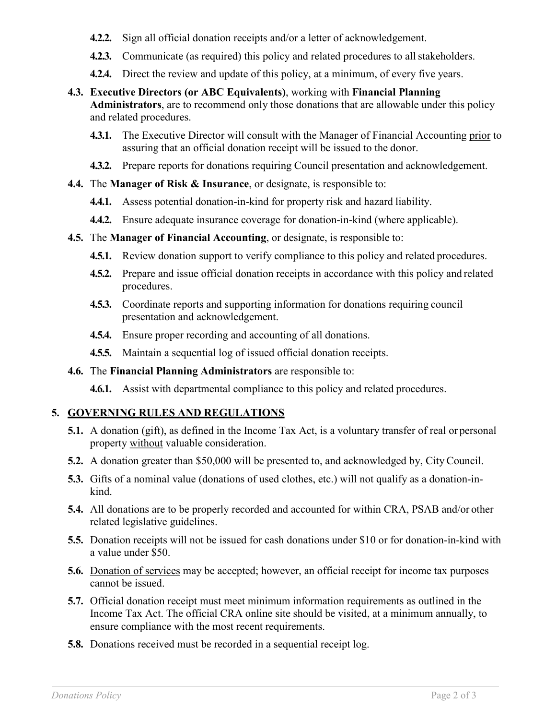- **4.2.2.** Sign all official donation receipts and/or a letter of acknowledgement.
- **4.2.3.** Communicate (as required) this policy and related procedures to all stakeholders.
- **4.2.4.** Direct the review and update of this policy, at a minimum, of every five years.
- **4.3. Executive Directors (or ABC Equivalents)**, working with **Financial Planning Administrators**, are to recommend only those donations that are allowable under this policy and related procedures.
	- **4.3.1.** The Executive Director will consult with the Manager of Financial Accounting prior to assuring that an official donation receipt will be issued to the donor.
	- **4.3.2.** Prepare reports for donations requiring Council presentation and acknowledgement.
- **4.4.** The **Manager of Risk & Insurance**, or designate, is responsible to:
	- **4.4.1.** Assess potential donation-in-kind for property risk and hazard liability.
	- **4.4.2.** Ensure adequate insurance coverage for donation-in-kind (where applicable).
- **4.5.** The **Manager of Financial Accounting**, or designate, is responsible to:
	- **4.5.1.** Review donation support to verify compliance to this policy and related procedures.
	- **4.5.2.** Prepare and issue official donation receipts in accordance with this policy and related procedures.
	- **4.5.3.** Coordinate reports and supporting information for donations requiring council presentation and acknowledgement.
	- **4.5.4.** Ensure proper recording and accounting of all donations.
	- **4.5.5.** Maintain a sequential log of issued official donation receipts.
- **4.6.** The **Financial Planning Administrators** are responsible to:
	- **4.6.1.** Assist with departmental compliance to this policy and related procedures.

#### **5. GOVERNING RULES AND REGULATIONS**

- **5.1.** A donation (gift), as defined in the Income Tax Act, is a voluntary transfer of real or personal property without valuable consideration.
- **5.2.** A donation greater than \$50,000 will be presented to, and acknowledged by, City Council.
- **5.3.** Gifts of a nominal value (donations of used clothes, etc.) will not qualify as a donation-inkind.
- **5.4.** All donations are to be properly recorded and accounted for within CRA, PSAB and/or other related legislative guidelines.
- **5.5.** Donation receipts will not be issued for cash donations under \$10 or for donation-in-kind with a value under \$50.
- **5.6.** Donation of services may be accepted; however, an official receipt for income tax purposes cannot be issued.
- **5.7.** Official donation receipt must meet minimum information requirements as outlined in the Income Tax Act. The official CRA online site should be visited, at a minimum annually, to ensure compliance with the most recent requirements.
- **5.8.** Donations received must be recorded in a sequential receipt log.